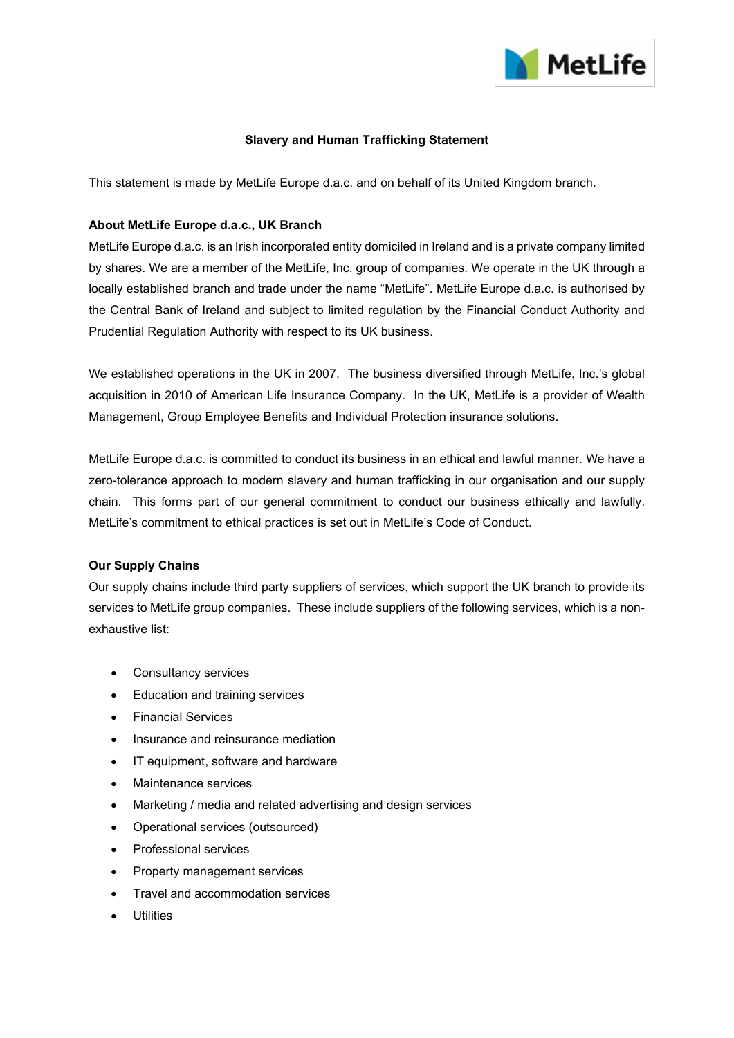

# **Slavery and Human Trafficking Statement**

This statement is made by MetLife Europe d.a.c. and on behalf of its United Kingdom branch.

## **About MetLife Europe d.a.c., UK Branch**

MetLife Europe d.a.c. is an Irish incorporated entity domiciled in Ireland and is a private company limited by shares. We are a member of the MetLife, Inc. group of companies. We operate in the UK through a locally established branch and trade under the name "MetLife". MetLife Europe d.a.c. is authorised by the Central Bank of Ireland and subject to limited regulation by the Financial Conduct Authority and Prudential Regulation Authority with respect to its UK business.

We established operations in the UK in 2007. The business diversified through MetLife, Inc.'s global acquisition in 2010 of American Life Insurance Company. In the UK, MetLife is a provider of Wealth Management, Group Employee Benefits and Individual Protection insurance solutions.

MetLife Europe d.a.c. is committed to conduct its business in an ethical and lawful manner. We have a zero-tolerance approach to modern slavery and human trafficking in our organisation and our supply chain. This forms part of our general commitment to conduct our business ethically and lawfully. MetLife's commitment to ethical practices is set out in MetLife's Code of Conduct.

## **Our Supply Chains**

Our supply chains include third party suppliers of services, which support the UK branch to provide its services to MetLife group companies. These include suppliers of the following services, which is a nonexhaustive list:

- Consultancy services
- Education and training services
- Financial Services
- Insurance and reinsurance mediation
- IT equipment, software and hardware
- Maintenance services
- Marketing / media and related advertising and design services
- Operational services (outsourced)
- Professional services
- Property management services
- Travel and accommodation services
- Utilities